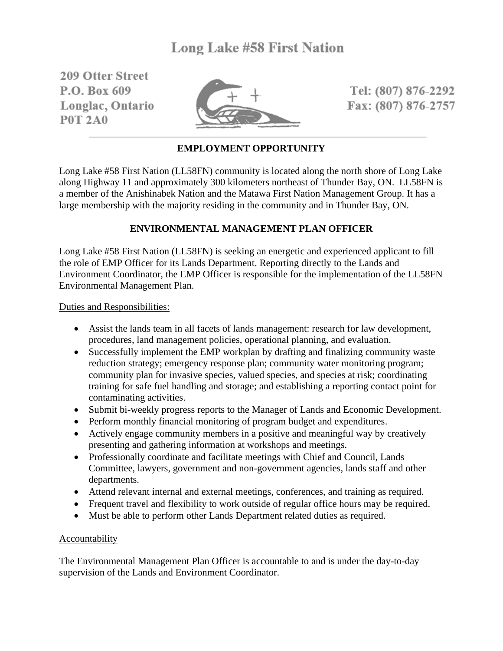209 Offer Street P.O. Box 609 Longlac, Ontario **P0T 2A0** 



Tel: (807) 876-2292 Fax: (807) 876-2757

# **EMPLOYMENT OPPORTUNITY**

Long Lake #58 First Nation (LL58FN) community is located along the north shore of Long Lake along Highway 11 and approximately 300 kilometers northeast of Thunder Bay, ON. LL58FN is a member of the Anishinabek Nation and the Matawa First Nation Management Group. It has a large membership with the majority residing in the community and in Thunder Bay, ON.

## **ENVIRONMENTAL MANAGEMENT PLAN OFFICER**

Long Lake #58 First Nation (LL58FN) is seeking an energetic and experienced applicant to fill the role of EMP Officer for its Lands Department. Reporting directly to the Lands and Environment Coordinator, the EMP Officer is responsible for the implementation of the LL58FN Environmental Management Plan.

Duties and Responsibilities:

- Assist the lands team in all facets of lands management: research for law development, procedures, land management policies, operational planning, and evaluation.
- Successfully implement the EMP workplan by drafting and finalizing community waste reduction strategy; emergency response plan; community water monitoring program; community plan for invasive species, valued species, and species at risk; coordinating training for safe fuel handling and storage; and establishing a reporting contact point for contaminating activities.
- Submit bi-weekly progress reports to the Manager of Lands and Economic Development.
- Perform monthly financial monitoring of program budget and expenditures.
- Actively engage community members in a positive and meaningful way by creatively presenting and gathering information at workshops and meetings.
- Professionally coordinate and facilitate meetings with Chief and Council, Lands Committee, lawyers, government and non-government agencies, lands staff and other departments.
- Attend relevant internal and external meetings, conferences, and training as required.
- Frequent travel and flexibility to work outside of regular office hours may be required.
- Must be able to perform other Lands Department related duties as required.

### **Accountability**

The Environmental Management Plan Officer is accountable to and is under the day-to-day supervision of the Lands and Environment Coordinator.